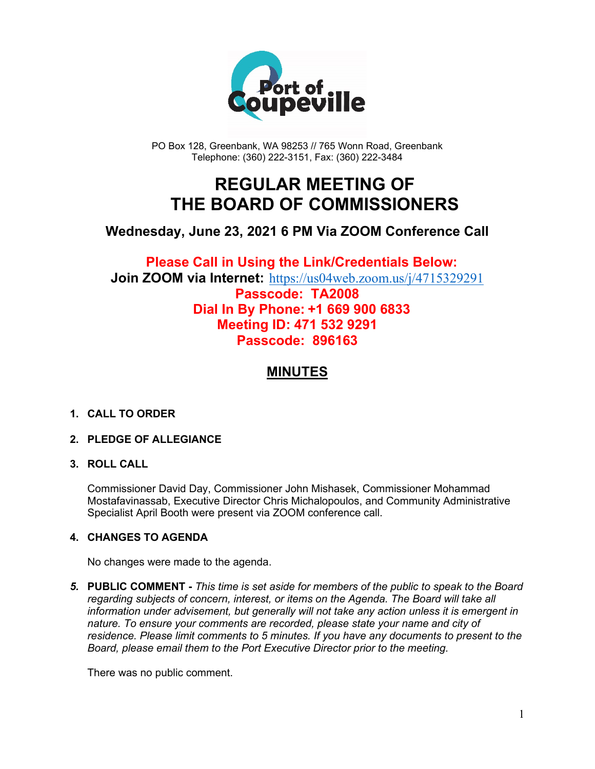

PO Box 128, Greenbank, WA 98253 // 765 Wonn Road, Greenbank Telephone: (360) 222-3151, Fax: (360) 222-3484

## **REGULAR MEETING OF THE BOARD OF COMMISSIONERS**

## **Wednesday, June 23, 2021 6 PM Via ZOOM Conference Call**

## **Please Call in Using the Link/Credentials Below: Join ZOOM via Internet:** <https://us04web.zoom.us/j/4715329291> **Passcode: TA2008 Dial In By Phone: +1 669 900 6833 Meeting ID: 471 532 9291**

# **MINUTES**

**Passcode: 896163**

#### **1. CALL TO ORDER**

#### **2. PLEDGE OF ALLEGIANCE**

#### **3. ROLL CALL**

Commissioner David Day, Commissioner John Mishasek, Commissioner Mohammad Mostafavinassab, Executive Director Chris Michalopoulos, and Community Administrative Specialist April Booth were present via ZOOM conference call.

#### **4. CHANGES TO AGENDA**

No changes were made to the agenda.

*5.* **PUBLIC COMMENT -** *This time is set aside for members of the public to speak to the Board regarding subjects of concern, interest, or items on the Agenda. The Board will take all information under advisement, but generally will not take any action unless it is emergent in nature. To ensure your comments are recorded, please state your name and city of residence. Please limit comments to 5 minutes. If you have any documents to present to the Board, please email them to the Port Executive Director prior to the meeting.*

There was no public comment.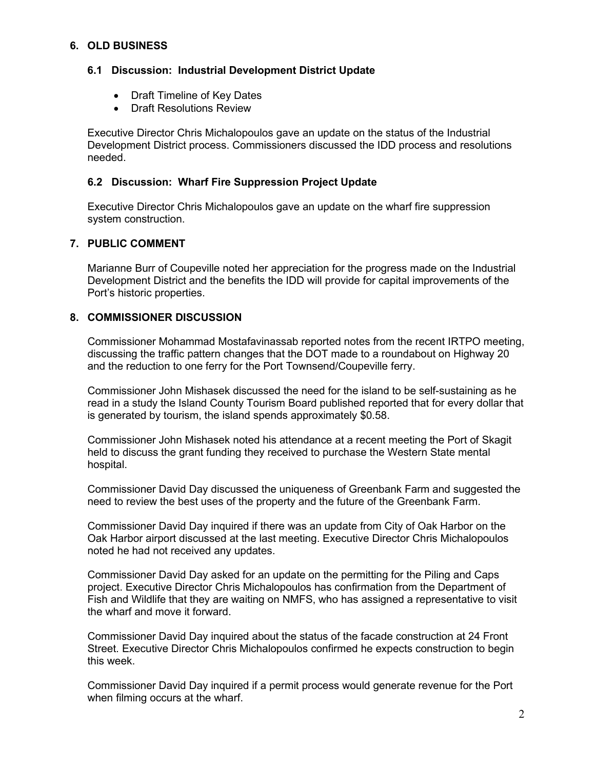#### **6. OLD BUSINESS**

#### **6.1 Discussion: Industrial Development District Update**

- Draft Timeline of Key Dates
- Draft Resolutions Review

Executive Director Chris Michalopoulos gave an update on the status of the Industrial Development District process. Commissioners discussed the IDD process and resolutions needed.

#### **6.2 Discussion: Wharf Fire Suppression Project Update**

Executive Director Chris Michalopoulos gave an update on the wharf fire suppression system construction.

#### **7. PUBLIC COMMENT**

Marianne Burr of Coupeville noted her appreciation for the progress made on the Industrial Development District and the benefits the IDD will provide for capital improvements of the Port's historic properties.

#### **8. COMMISSIONER DISCUSSION**

Commissioner Mohammad Mostafavinassab reported notes from the recent IRTPO meeting, discussing the traffic pattern changes that the DOT made to a roundabout on Highway 20 and the reduction to one ferry for the Port Townsend/Coupeville ferry.

Commissioner John Mishasek discussed the need for the island to be self-sustaining as he read in a study the Island County Tourism Board published reported that for every dollar that is generated by tourism, the island spends approximately \$0.58.

Commissioner John Mishasek noted his attendance at a recent meeting the Port of Skagit held to discuss the grant funding they received to purchase the Western State mental hospital.

Commissioner David Day discussed the uniqueness of Greenbank Farm and suggested the need to review the best uses of the property and the future of the Greenbank Farm.

Commissioner David Day inquired if there was an update from City of Oak Harbor on the Oak Harbor airport discussed at the last meeting. Executive Director Chris Michalopoulos noted he had not received any updates.

Commissioner David Day asked for an update on the permitting for the Piling and Caps project. Executive Director Chris Michalopoulos has confirmation from the Department of Fish and Wildlife that they are waiting on NMFS, who has assigned a representative to visit the wharf and move it forward.

Commissioner David Day inquired about the status of the facade construction at 24 Front Street. Executive Director Chris Michalopoulos confirmed he expects construction to begin this week.

Commissioner David Day inquired if a permit process would generate revenue for the Port when filming occurs at the wharf.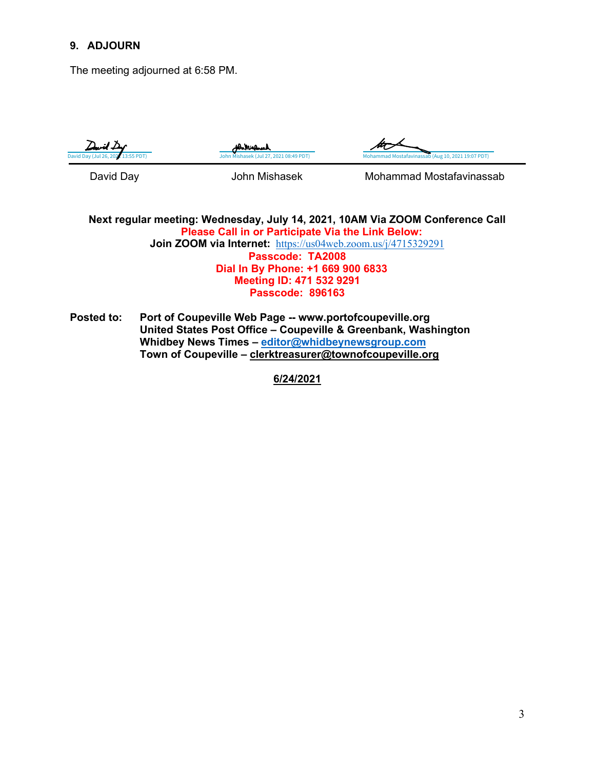#### **9. ADJOURN**

The meeting adjourned at 6:58 PM.



bhhirl



David Day **Communist Communist Communist Communist Communist Communist Communist Communist Communist Communist Communist Communist Communist Communist Communist Communist Communist Communist Communist Communist Communist C** 

**Next regular meeting: Wednesday, July 14, 2021, 10AM Via ZOOM Conference Call Please Call in or Participate Via the Link Below: Join ZOOM via Internet:** <https://us04web.zoom.us/j/4715329291> **Passcode: TA2008 Dial In By Phone: +1 669 900 6833 Meeting ID: 471 532 9291 Passcode: 896163**

**Posted to: Port of Coupeville Web Page -- www.portofcoupeville.org United States Post Office – Coupeville & Greenbank, Washington Whidbey News Times – [editor@whidbeynewsgroup.com](mailto:editor@whidbeynewsgroup.com) Town of Coupeville – [clerktreasurer@townofcoupeville.org](mailto:clerktreasurer@townofcoupeville.org)**

**6/24/2021**